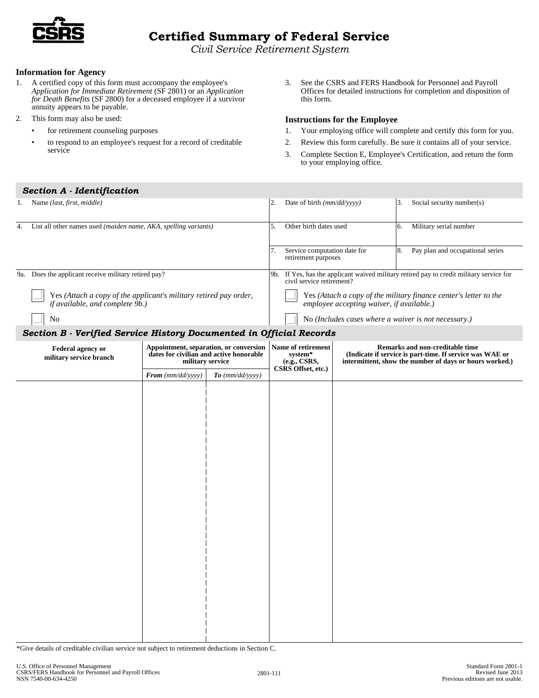

# **Certified Summary of Federal Service**

*Civil Service Retirement System* 

### **Information for Agency**

- 1. A certified copy of this form must accompany the employee's *Application for Immediate Retirement* (SF 2801) or an *Application for Death Benefits* (SF 2800) for a deceased employee if a survivor annuity appears to be payable.
- 2. This form may also be used:
	- • for retirement counseling purposes
	- • to respond to an employee's request for a record of creditable service
- 3. See the CSRS and FERS Handbook for Personnel and Payroll Offices for detailed instructions for completion and disposition of this form.

## **Instructions for the Employee**

- 1. Your employing office will complete and certify this form for you.
- 2. Review this form carefully. Be sure it contains all of your service.
- 3. Complete Section E, Employee's Certification, and return the form to your employing office.

| Section A - Identification                                                                           |                                                                                                              |                       |                                                                                                                          |                                                                                                                |                                                                                                                                                        |  |                                        |  |  |
|------------------------------------------------------------------------------------------------------|--------------------------------------------------------------------------------------------------------------|-----------------------|--------------------------------------------------------------------------------------------------------------------------|----------------------------------------------------------------------------------------------------------------|--------------------------------------------------------------------------------------------------------------------------------------------------------|--|----------------------------------------|--|--|
| 1. Name (last, first, middle)                                                                        |                                                                                                              |                       |                                                                                                                          | 3.<br>2.<br>Date of birth (mm/dd/yyyy)                                                                         |                                                                                                                                                        |  | Social security number(s)              |  |  |
| List all other names used (maiden name, AKA, spelling variants)<br>4.                                |                                                                                                              |                       |                                                                                                                          | 5.<br>Other birth dates used<br>7.<br>Service computation date for<br>retirement purposes                      |                                                                                                                                                        |  | Military serial number                 |  |  |
|                                                                                                      |                                                                                                              |                       |                                                                                                                          |                                                                                                                |                                                                                                                                                        |  | 8.<br>Pay plan and occupational series |  |  |
| 9a. Does the applicant receive military retired pay?                                                 |                                                                                                              |                       | If Yes, has the applicant waived military retired pay to credit military service for<br>9b.<br>civil service retirement? |                                                                                                                |                                                                                                                                                        |  |                                        |  |  |
| Yes (Attach a copy of the applicant's military retired pay order,<br>if available, and complete 9b.) |                                                                                                              |                       |                                                                                                                          | Yes (Attach a copy of the military finance center's letter to the<br>employee accepting waiver, if available.) |                                                                                                                                                        |  |                                        |  |  |
| No                                                                                                   |                                                                                                              |                       |                                                                                                                          |                                                                                                                | No (Includes cases where a waiver is not necessary.)                                                                                                   |  |                                        |  |  |
| Section B - Verified Service History Documented in Official Records                                  |                                                                                                              |                       |                                                                                                                          |                                                                                                                |                                                                                                                                                        |  |                                        |  |  |
| <b>Federal agency or</b><br>military service branch                                                  | <b>Appointment, separation, or conversion</b><br>dates for civilian and active honorable<br>military service |                       | Name of retirement<br>system*<br>(e.g., CSRS,<br>CSRS Offset, etc.)                                                      |                                                                                                                | Remarks and non-creditable time<br>(Indicate if service is part-time. If service was WAE or<br>intermittent, show the number of days or hours worked.) |  |                                        |  |  |
|                                                                                                      | From (mm/dd/yyyy)                                                                                            | $To$ ( $mm/dd/yyyy$ ) |                                                                                                                          |                                                                                                                |                                                                                                                                                        |  |                                        |  |  |
|                                                                                                      |                                                                                                              |                       |                                                                                                                          |                                                                                                                |                                                                                                                                                        |  |                                        |  |  |

\*Give details of creditable civilian service not subject to retirement deductions in Section C.